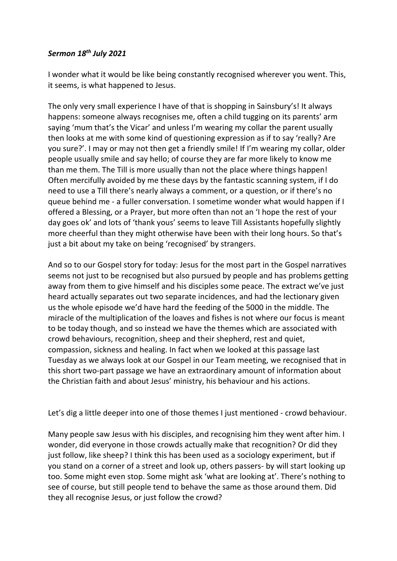## *Sermon 18th July 2021*

I wonder what it would be like being constantly recognised wherever you went. This, it seems, is what happened to Jesus.

The only very small experience I have of that is shopping in Sainsbury's! It always happens: someone always recognises me, often a child tugging on its parents' arm saying 'mum that's the Vicar' and unless I'm wearing my collar the parent usually then looks at me with some kind of questioning expression as if to say 'really? Are you sure?'. I may or may not then get a friendly smile! If I'm wearing my collar, older people usually smile and say hello; of course they are far more likely to know me than me them. The Till is more usually than not the place where things happen! Often mercifully avoided by me these days by the fantastic scanning system, if I do need to use a Till there's nearly always a comment, or a question, or if there's no queue behind me - a fuller conversation. I sometime wonder what would happen if I offered a Blessing, or a Prayer, but more often than not an 'I hope the rest of your day goes ok' and lots of 'thank yous' seems to leave Till Assistants hopefully slightly more cheerful than they might otherwise have been with their long hours. So that's just a bit about my take on being 'recognised' by strangers.

And so to our Gospel story for today: Jesus for the most part in the Gospel narratives seems not just to be recognised but also pursued by people and has problems getting away from them to give himself and his disciples some peace. The extract we've just heard actually separates out two separate incidences, and had the lectionary given us the whole episode we'd have hard the feeding of the 5000 in the middle. The miracle of the multiplication of the loaves and fishes is not where our focus is meant to be today though, and so instead we have the themes which are associated with crowd behaviours, recognition, sheep and their shepherd, rest and quiet, compassion, sickness and healing. In fact when we looked at this passage last Tuesday as we always look at our Gospel in our Team meeting, we recognised that in this short two-part passage we have an extraordinary amount of information about the Christian faith and about Jesus' ministry, his behaviour and his actions.

Let's dig a little deeper into one of those themes I just mentioned - crowd behaviour.

Many people saw Jesus with his disciples, and recognising him they went after him. I wonder, did everyone in those crowds actually make that recognition? Or did they just follow, like sheep? I think this has been used as a sociology experiment, but if you stand on a corner of a street and look up, others passers- by will start looking up too. Some might even stop. Some might ask 'what are looking at'. There's nothing to see of course, but still people tend to behave the same as those around them. Did they all recognise Jesus, or just follow the crowd?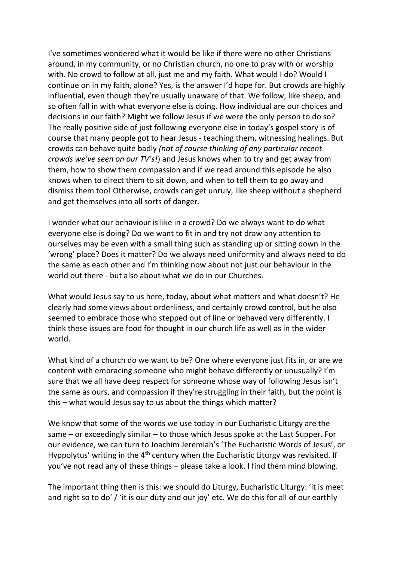I've sometimes wondered what it would be like if there were no other Christians around, in my community, or no Christian church, no one to pray with or worship with. No crowd to follow at all, just me and my faith. What would I do? Would I continue on in my faith, alone? Yes, is the answer I'd hope for. But crowds are highly influential, even though they're usually unaware of that. We follow, like sheep, and so often fall in with what everyone else is doing. How individual are our choices and decisions in our faith? Might we follow Jesus if we were the only person to do so? The really positive side of just following everyone else in today's gospel story is of course that many people got to hear Jesus - teaching them, witnessing healings. But crowds can behave quite badly *(not of course thinking of any particular recent crowds we've seen on our TV's!*) and Jesus knows when to try and get away from them, how to show them compassion and if we read around this episode he also knows when to direct them to sit down, and when to tell them to go away and dismiss them too! Otherwise, crowds can get unruly, like sheep without a shepherd and get themselves into all sorts of danger.

I wonder what our behaviour is like in a crowd? Do we always want to do what everyone else is doing? Do we want to fit in and try not draw any attention to ourselves may be even with a small thing such as standing up or sitting down in the 'wrong' place? Does it matter? Do we always need uniformity and always need to do the same as each other and I'm thinking now about not just our behaviour in the world out there - but also about what we do in our Churches.

What would Jesus say to us here, today, about what matters and what doesn't? He clearly had some views about orderliness, and certainly crowd control, but he also seemed to embrace those who stepped out of line or behaved very differently. I think these issues are food for thought in our church life as well as in the wider world.

What kind of a church do we want to be? One where everyone just fits in, or are we content with embracing someone who might behave differently or unusually? I'm sure that we all have deep respect for someone whose way of following Jesus isn't the same as ours, and compassion if they're struggling in their faith, but the point is this – what would Jesus say to us about the things which matter?

We know that some of the words we use today in our Eucharistic Liturgy are the same – or exceedingly similar – to those which Jesus spoke at the Last Supper. For our evidence, we can turn to Joachim Jeremiah's 'The Eucharistic Words of Jesus', or Hyppolytus' writing in the  $4<sup>th</sup>$  century when the Eucharistic Liturgy was revisited. If you've not read any of these things – please take a look. I find them mind blowing.

The important thing then is this: we should do Liturgy, Eucharistic Liturgy: 'it is meet and right so to do' / 'it is our duty and our joy' etc. We do this for all of our earthly